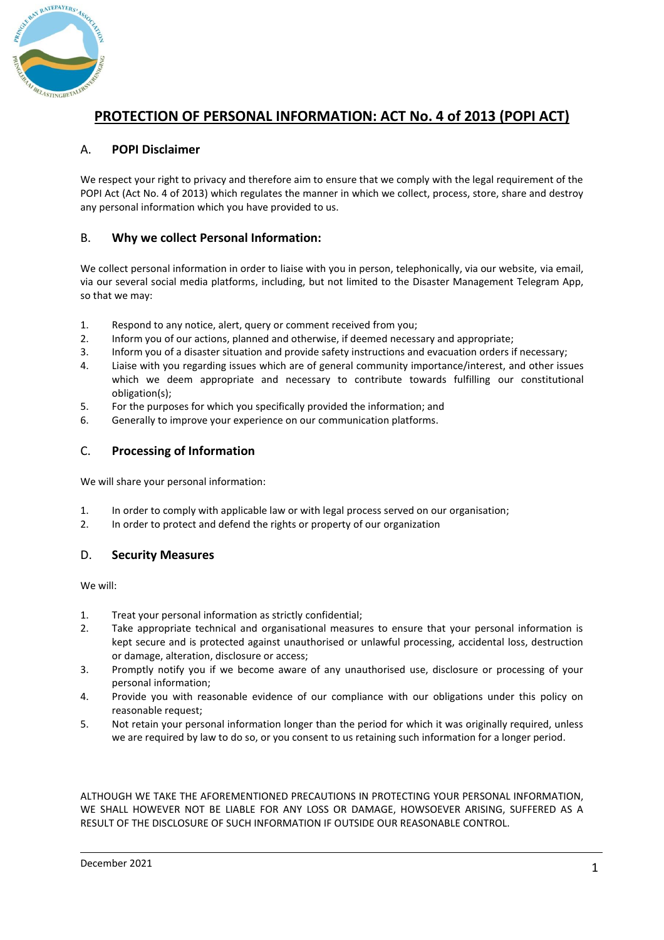

# **PROTECTION OF PERSONAL INFORMATION: ACT No. 4 of 2013 (POPI ACT)**

## A. **POPI Disclaimer**

We respect your right to privacy and therefore aim to ensure that we comply with the legal requirement of the POPI Act (Act No. 4 of 2013) which regulates the manner in which we collect, process, store, share and destroy any personal information which you have provided to us.

#### B. **Why we collect Personal Information:**

We collect personal information in order to liaise with you in person, telephonically, via our website, via email, via our several social media platforms, including, but not limited to the Disaster Management Telegram App, so that we may:

- 1. Respond to any notice, alert, query or comment received from you;
- 2. Inform you of our actions, planned and otherwise, if deemed necessary and appropriate;
- 3. Inform you of a disaster situation and provide safety instructions and evacuation orders if necessary;
- 4. Liaise with you regarding issues which are of general community importance/interest, and other issues which we deem appropriate and necessary to contribute towards fulfilling our constitutional obligation(s);
- 5. For the purposes for which you specifically provided the information; and
- 6. Generally to improve your experience on our communication platforms.

#### C. **Processing of Information**

We will share your personal information:

- 1. In order to comply with applicable law or with legal process served on our organisation;
- 2. In order to protect and defend the rights or property of our organization

## D. **Security Measures**

We will:

- 1. Treat your personal information as strictly confidential;
- 2. Take appropriate technical and organisational measures to ensure that your personal information is kept secure and is protected against unauthorised or unlawful processing, accidental loss, destruction or damage, alteration, disclosure or access;
- 3. Promptly notify you if we become aware of any unauthorised use, disclosure or processing of your personal information;
- 4. Provide you with reasonable evidence of our compliance with our obligations under this policy on reasonable request;
- 5. Not retain your personal information longer than the period for which it was originally required, unless we are required by law to do so, or you consent to us retaining such information for a longer period.

ALTHOUGH WE TAKE THE AFOREMENTIONED PRECAUTIONS IN PROTECTING YOUR PERSONAL INFORMATION, WE SHALL HOWEVER NOT BE LIABLE FOR ANY LOSS OR DAMAGE, HOWSOEVER ARISING, SUFFERED AS A RESULT OF THE DISCLOSURE OF SUCH INFORMATION IF OUTSIDE OUR REASONABLE CONTROL.